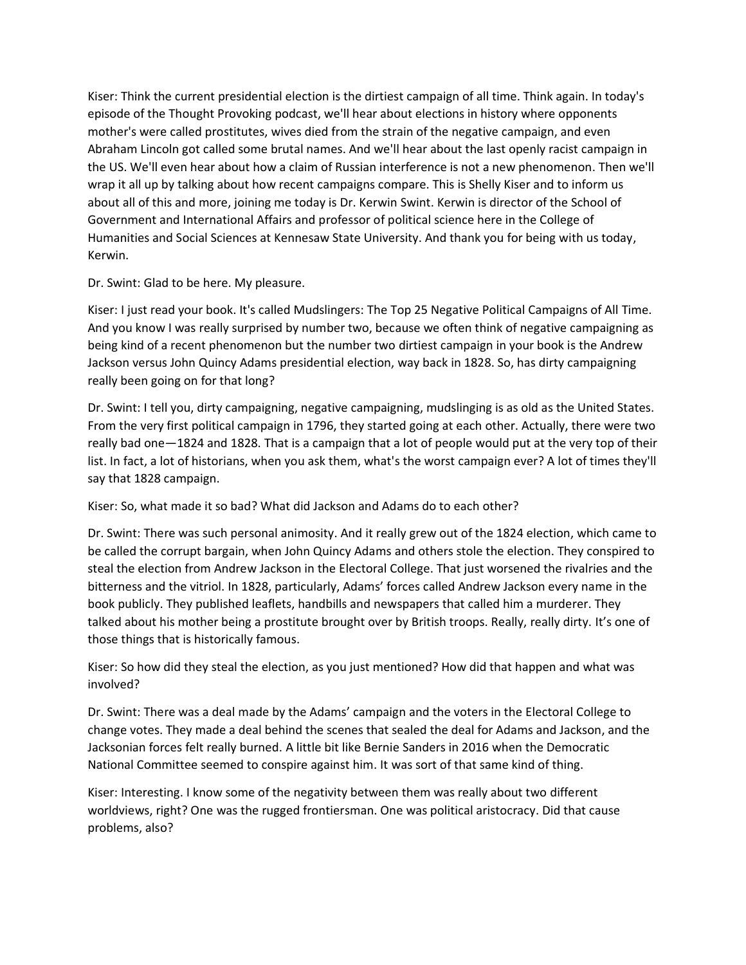Kiser: Think the current presidential election is the dirtiest campaign of all time. Think again. In today's episode of the Thought Provoking podcast, we'll hear about elections in history where opponents mother's were called prostitutes, wives died from the strain of the negative campaign, and even Abraham Lincoln got called some brutal names. And we'll hear about the last openly racist campaign in the US. We'll even hear about how a claim of Russian interference is not a new phenomenon. Then we'll wrap it all up by talking about how recent campaigns compare. This is Shelly Kiser and to inform us about all of this and more, joining me today is Dr. Kerwin Swint. Kerwin is director of the School of Government and International Affairs and professor of political science here in the College of Humanities and Social Sciences at Kennesaw State University. And thank you for being with us today, Kerwin.

Dr. Swint: Glad to be here. My pleasure.

Kiser: I just read your book. It's called Mudslingers: The Top 25 Negative Political Campaigns of All Time. And you know I was really surprised by number two, because we often think of negative campaigning as being kind of a recent phenomenon but the number two dirtiest campaign in your book is the Andrew Jackson versus John Quincy Adams presidential election, way back in 1828. So, has dirty campaigning really been going on for that long?

Dr. Swint: I tell you, dirty campaigning, negative campaigning, mudslinging is as old as the United States. From the very first political campaign in 1796, they started going at each other. Actually, there were two really bad one—1824 and 1828. That is a campaign that a lot of people would put at the very top of their list. In fact, a lot of historians, when you ask them, what's the worst campaign ever? A lot of times they'll say that 1828 campaign.

Kiser: So, what made it so bad? What did Jackson and Adams do to each other?

Dr. Swint: There was such personal animosity. And it really grew out of the 1824 election, which came to be called the corrupt bargain, when John Quincy Adams and others stole the election. They conspired to steal the election from Andrew Jackson in the Electoral College. That just worsened the rivalries and the bitterness and the vitriol. In 1828, particularly, Adams' forces called Andrew Jackson every name in the book publicly. They published leaflets, handbills and newspapers that called him a murderer. They talked about his mother being a prostitute brought over by British troops. Really, really dirty. It's one of those things that is historically famous.

Kiser: So how did they steal the election, as you just mentioned? How did that happen and what was involved?

Dr. Swint: There was a deal made by the Adams' campaign and the voters in the Electoral College to change votes. They made a deal behind the scenes that sealed the deal for Adams and Jackson, and the Jacksonian forces felt really burned. A little bit like Bernie Sanders in 2016 when the Democratic National Committee seemed to conspire against him. It was sort of that same kind of thing.

Kiser: Interesting. I know some of the negativity between them was really about two different worldviews, right? One was the rugged frontiersman. One was political aristocracy. Did that cause problems, also?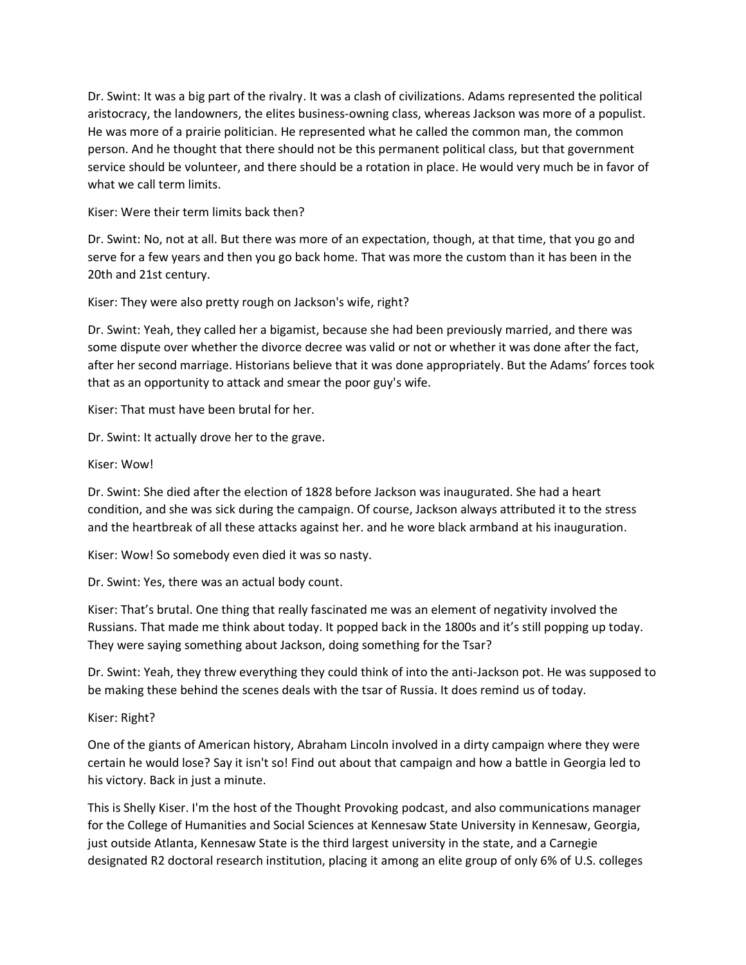Dr. Swint: It was a big part of the rivalry. It was a clash of civilizations. Adams represented the political aristocracy, the landowners, the elites business-owning class, whereas Jackson was more of a populist. He was more of a prairie politician. He represented what he called the common man, the common person. And he thought that there should not be this permanent political class, but that government service should be volunteer, and there should be a rotation in place. He would very much be in favor of what we call term limits.

## Kiser: Were their term limits back then?

Dr. Swint: No, not at all. But there was more of an expectation, though, at that time, that you go and serve for a few years and then you go back home. That was more the custom than it has been in the 20th and 21st century.

Kiser: They were also pretty rough on Jackson's wife, right?

Dr. Swint: Yeah, they called her a bigamist, because she had been previously married, and there was some dispute over whether the divorce decree was valid or not or whether it was done after the fact, after her second marriage. Historians believe that it was done appropriately. But the Adams' forces took that as an opportunity to attack and smear the poor guy's wife.

Kiser: That must have been brutal for her.

Dr. Swint: It actually drove her to the grave.

## Kiser: Wow!

Dr. Swint: She died after the election of 1828 before Jackson was inaugurated. She had a heart condition, and she was sick during the campaign. Of course, Jackson always attributed it to the stress and the heartbreak of all these attacks against her. and he wore black armband at his inauguration.

Kiser: Wow! So somebody even died it was so nasty.

Dr. Swint: Yes, there was an actual body count.

Kiser: That's brutal. One thing that really fascinated me was an element of negativity involved the Russians. That made me think about today. It popped back in the 1800s and it's still popping up today. They were saying something about Jackson, doing something for the Tsar?

Dr. Swint: Yeah, they threw everything they could think of into the anti-Jackson pot. He was supposed to be making these behind the scenes deals with the tsar of Russia. It does remind us of today.

Kiser: Right?

One of the giants of American history, Abraham Lincoln involved in a dirty campaign where they were certain he would lose? Say it isn't so! Find out about that campaign and how a battle in Georgia led to his victory. Back in just a minute.

This is Shelly Kiser. I'm the host of the Thought Provoking podcast, and also communications manager for the College of Humanities and Social Sciences at Kennesaw State University in Kennesaw, Georgia, just outside Atlanta, Kennesaw State is the third largest university in the state, and a Carnegie designated R2 doctoral research institution, placing it among an elite group of only 6% of U.S. colleges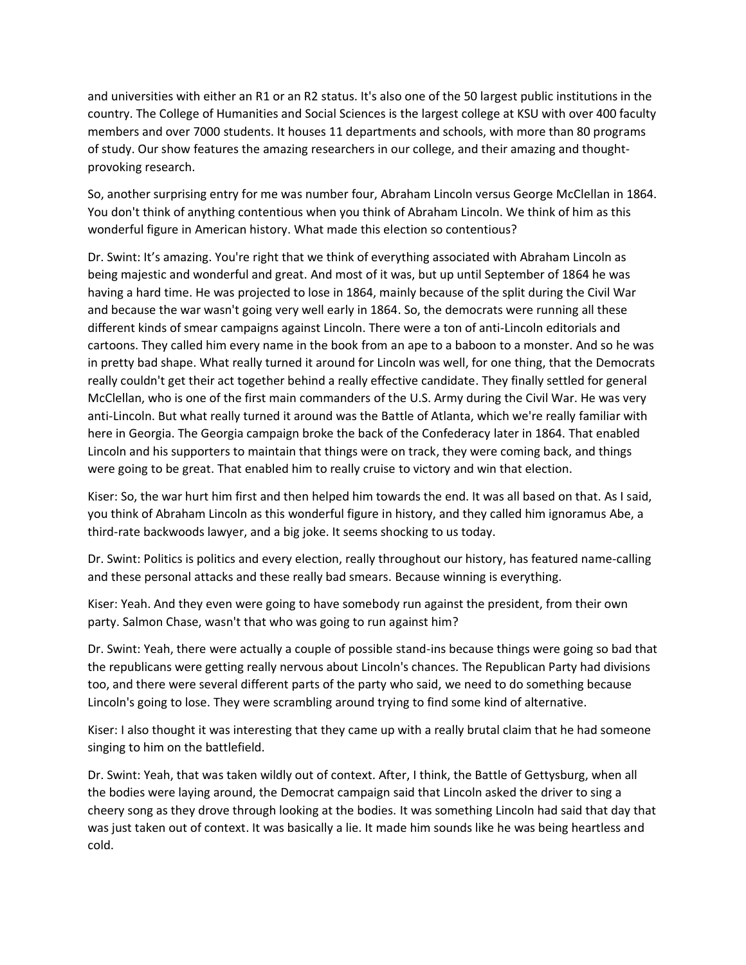and universities with either an R1 or an R2 status. It's also one of the 50 largest public institutions in the country. The College of Humanities and Social Sciences is the largest college at KSU with over 400 faculty members and over 7000 students. It houses 11 departments and schools, with more than 80 programs of study. Our show features the amazing researchers in our college, and their amazing and thoughtprovoking research.

So, another surprising entry for me was number four, Abraham Lincoln versus George McClellan in 1864. You don't think of anything contentious when you think of Abraham Lincoln. We think of him as this wonderful figure in American history. What made this election so contentious?

Dr. Swint: It's amazing. You're right that we think of everything associated with Abraham Lincoln as being majestic and wonderful and great. And most of it was, but up until September of 1864 he was having a hard time. He was projected to lose in 1864, mainly because of the split during the Civil War and because the war wasn't going very well early in 1864. So, the democrats were running all these different kinds of smear campaigns against Lincoln. There were a ton of anti-Lincoln editorials and cartoons. They called him every name in the book from an ape to a baboon to a monster. And so he was in pretty bad shape. What really turned it around for Lincoln was well, for one thing, that the Democrats really couldn't get their act together behind a really effective candidate. They finally settled for general McClellan, who is one of the first main commanders of the U.S. Army during the Civil War. He was very anti-Lincoln. But what really turned it around was the Battle of Atlanta, which we're really familiar with here in Georgia. The Georgia campaign broke the back of the Confederacy later in 1864. That enabled Lincoln and his supporters to maintain that things were on track, they were coming back, and things were going to be great. That enabled him to really cruise to victory and win that election.

Kiser: So, the war hurt him first and then helped him towards the end. It was all based on that. As I said, you think of Abraham Lincoln as this wonderful figure in history, and they called him ignoramus Abe, a third-rate backwoods lawyer, and a big joke. It seems shocking to us today.

Dr. Swint: Politics is politics and every election, really throughout our history, has featured name-calling and these personal attacks and these really bad smears. Because winning is everything.

Kiser: Yeah. And they even were going to have somebody run against the president, from their own party. Salmon Chase, wasn't that who was going to run against him?

Dr. Swint: Yeah, there were actually a couple of possible stand-ins because things were going so bad that the republicans were getting really nervous about Lincoln's chances. The Republican Party had divisions too, and there were several different parts of the party who said, we need to do something because Lincoln's going to lose. They were scrambling around trying to find some kind of alternative.

Kiser: I also thought it was interesting that they came up with a really brutal claim that he had someone singing to him on the battlefield.

Dr. Swint: Yeah, that was taken wildly out of context. After, I think, the Battle of Gettysburg, when all the bodies were laying around, the Democrat campaign said that Lincoln asked the driver to sing a cheery song as they drove through looking at the bodies. It was something Lincoln had said that day that was just taken out of context. It was basically a lie. It made him sounds like he was being heartless and cold.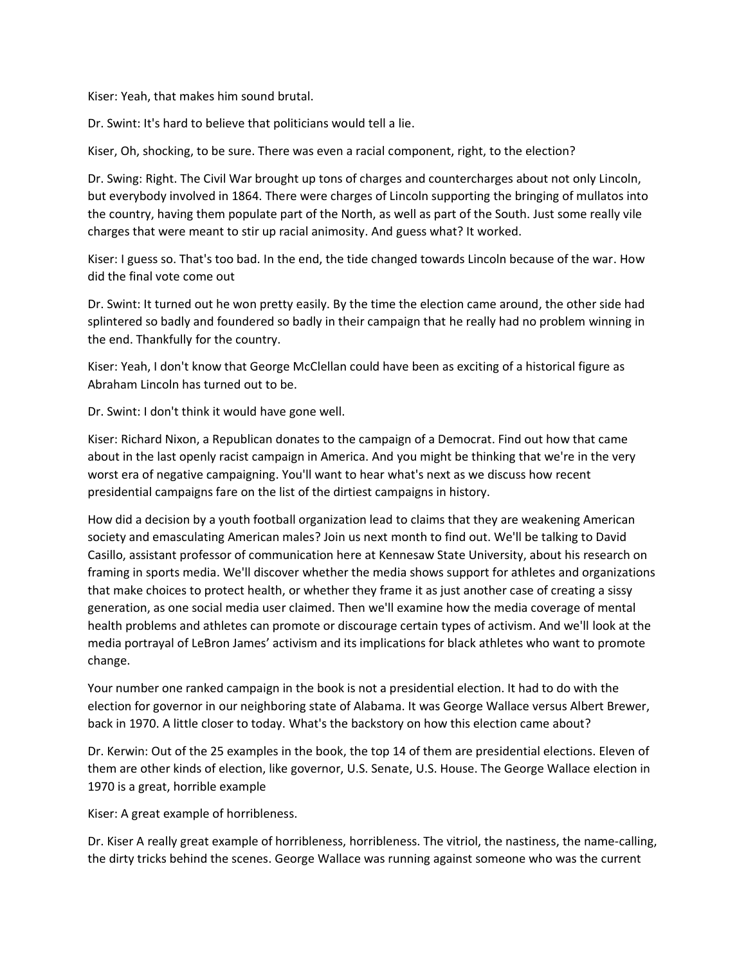Kiser: Yeah, that makes him sound brutal.

Dr. Swint: It's hard to believe that politicians would tell a lie.

Kiser, Oh, shocking, to be sure. There was even a racial component, right, to the election?

Dr. Swing: Right. The Civil War brought up tons of charges and countercharges about not only Lincoln, but everybody involved in 1864. There were charges of Lincoln supporting the bringing of mullatos into the country, having them populate part of the North, as well as part of the South. Just some really vile charges that were meant to stir up racial animosity. And guess what? It worked.

Kiser: I guess so. That's too bad. In the end, the tide changed towards Lincoln because of the war. How did the final vote come out

Dr. Swint: It turned out he won pretty easily. By the time the election came around, the other side had splintered so badly and foundered so badly in their campaign that he really had no problem winning in the end. Thankfully for the country.

Kiser: Yeah, I don't know that George McClellan could have been as exciting of a historical figure as Abraham Lincoln has turned out to be.

Dr. Swint: I don't think it would have gone well.

Kiser: Richard Nixon, a Republican donates to the campaign of a Democrat. Find out how that came about in the last openly racist campaign in America. And you might be thinking that we're in the very worst era of negative campaigning. You'll want to hear what's next as we discuss how recent presidential campaigns fare on the list of the dirtiest campaigns in history.

How did a decision by a youth football organization lead to claims that they are weakening American society and emasculating American males? Join us next month to find out. We'll be talking to David Casillo, assistant professor of communication here at Kennesaw State University, about his research on framing in sports media. We'll discover whether the media shows support for athletes and organizations that make choices to protect health, or whether they frame it as just another case of creating a sissy generation, as one social media user claimed. Then we'll examine how the media coverage of mental health problems and athletes can promote or discourage certain types of activism. And we'll look at the media portrayal of LeBron James' activism and its implications for black athletes who want to promote change.

Your number one ranked campaign in the book is not a presidential election. It had to do with the election for governor in our neighboring state of Alabama. It was George Wallace versus Albert Brewer, back in 1970. A little closer to today. What's the backstory on how this election came about?

Dr. Kerwin: Out of the 25 examples in the book, the top 14 of them are presidential elections. Eleven of them are other kinds of election, like governor, U.S. Senate, U.S. House. The George Wallace election in 1970 is a great, horrible example

Kiser: A great example of horribleness.

Dr. Kiser A really great example of horribleness, horribleness. The vitriol, the nastiness, the name-calling, the dirty tricks behind the scenes. George Wallace was running against someone who was the current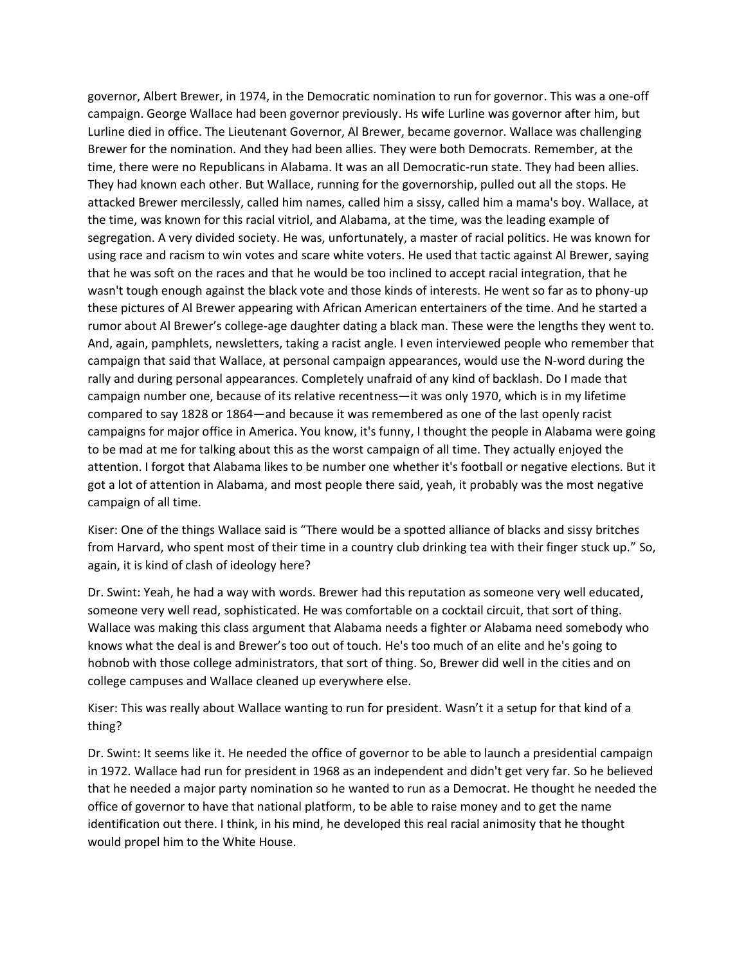governor, Albert Brewer, in 1974, in the Democratic nomination to run for governor. This was a one-off campaign. George Wallace had been governor previously. Hs wife Lurline was governor after him, but Lurline died in office. The Lieutenant Governor, Al Brewer, became governor. Wallace was challenging Brewer for the nomination. And they had been allies. They were both Democrats. Remember, at the time, there were no Republicans in Alabama. It was an all Democratic-run state. They had been allies. They had known each other. But Wallace, running for the governorship, pulled out all the stops. He attacked Brewer mercilessly, called him names, called him a sissy, called him a mama's boy. Wallace, at the time, was known for this racial vitriol, and Alabama, at the time, was the leading example of segregation. A very divided society. He was, unfortunately, a master of racial politics. He was known for using race and racism to win votes and scare white voters. He used that tactic against Al Brewer, saying that he was soft on the races and that he would be too inclined to accept racial integration, that he wasn't tough enough against the black vote and those kinds of interests. He went so far as to phony-up these pictures of Al Brewer appearing with African American entertainers of the time. And he started a rumor about Al Brewer's college-age daughter dating a black man. These were the lengths they went to. And, again, pamphlets, newsletters, taking a racist angle. I even interviewed people who remember that campaign that said that Wallace, at personal campaign appearances, would use the N-word during the rally and during personal appearances. Completely unafraid of any kind of backlash. Do I made that campaign number one, because of its relative recentness—it was only 1970, which is in my lifetime compared to say 1828 or 1864—and because it was remembered as one of the last openly racist campaigns for major office in America. You know, it's funny, I thought the people in Alabama were going to be mad at me for talking about this as the worst campaign of all time. They actually enjoyed the attention. I forgot that Alabama likes to be number one whether it's football or negative elections. But it got a lot of attention in Alabama, and most people there said, yeah, it probably was the most negative campaign of all time.

Kiser: One of the things Wallace said is "There would be a spotted alliance of blacks and sissy britches from Harvard, who spent most of their time in a country club drinking tea with their finger stuck up." So, again, it is kind of clash of ideology here?

Dr. Swint: Yeah, he had a way with words. Brewer had this reputation as someone very well educated, someone very well read, sophisticated. He was comfortable on a cocktail circuit, that sort of thing. Wallace was making this class argument that Alabama needs a fighter or Alabama need somebody who knows what the deal is and Brewer's too out of touch. He's too much of an elite and he's going to hobnob with those college administrators, that sort of thing. So, Brewer did well in the cities and on college campuses and Wallace cleaned up everywhere else.

Kiser: This was really about Wallace wanting to run for president. Wasn't it a setup for that kind of a thing?

Dr. Swint: It seems like it. He needed the office of governor to be able to launch a presidential campaign in 1972. Wallace had run for president in 1968 as an independent and didn't get very far. So he believed that he needed a major party nomination so he wanted to run as a Democrat. He thought he needed the office of governor to have that national platform, to be able to raise money and to get the name identification out there. I think, in his mind, he developed this real racial animosity that he thought would propel him to the White House.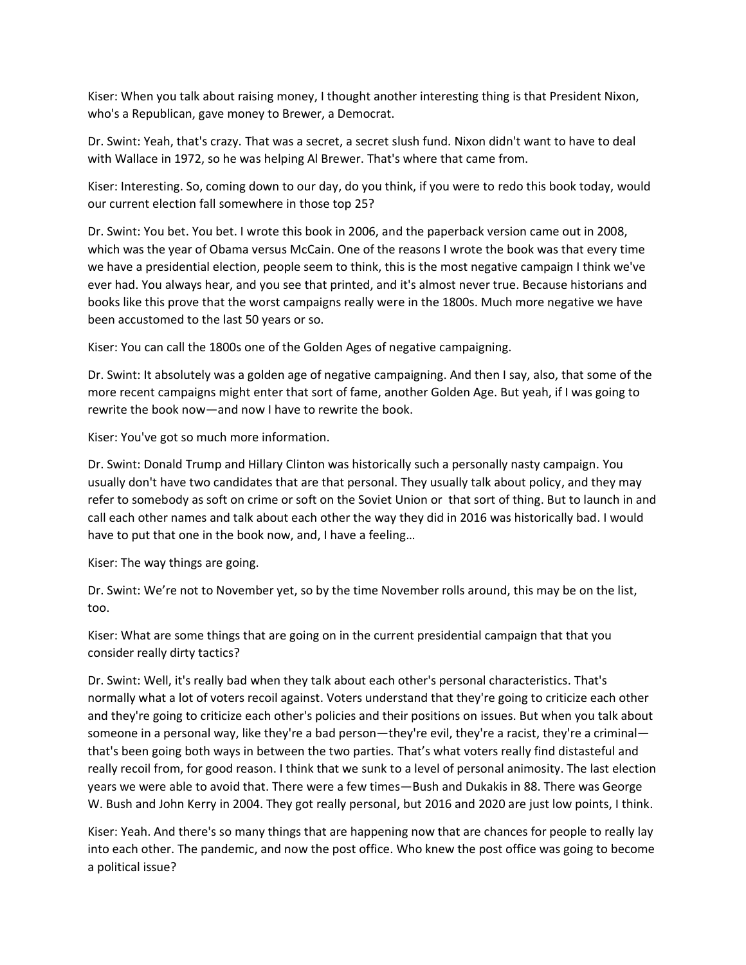Kiser: When you talk about raising money, I thought another interesting thing is that President Nixon, who's a Republican, gave money to Brewer, a Democrat.

Dr. Swint: Yeah, that's crazy. That was a secret, a secret slush fund. Nixon didn't want to have to deal with Wallace in 1972, so he was helping Al Brewer. That's where that came from.

Kiser: Interesting. So, coming down to our day, do you think, if you were to redo this book today, would our current election fall somewhere in those top 25?

Dr. Swint: You bet. You bet. I wrote this book in 2006, and the paperback version came out in 2008, which was the year of Obama versus McCain. One of the reasons I wrote the book was that every time we have a presidential election, people seem to think, this is the most negative campaign I think we've ever had. You always hear, and you see that printed, and it's almost never true. Because historians and books like this prove that the worst campaigns really were in the 1800s. Much more negative we have been accustomed to the last 50 years or so.

Kiser: You can call the 1800s one of the Golden Ages of negative campaigning.

Dr. Swint: It absolutely was a golden age of negative campaigning. And then I say, also, that some of the more recent campaigns might enter that sort of fame, another Golden Age. But yeah, if I was going to rewrite the book now—and now I have to rewrite the book.

Kiser: You've got so much more information.

Dr. Swint: Donald Trump and Hillary Clinton was historically such a personally nasty campaign. You usually don't have two candidates that are that personal. They usually talk about policy, and they may refer to somebody as soft on crime or soft on the Soviet Union or that sort of thing. But to launch in and call each other names and talk about each other the way they did in 2016 was historically bad. I would have to put that one in the book now, and, I have a feeling…

Kiser: The way things are going.

Dr. Swint: We're not to November yet, so by the time November rolls around, this may be on the list, too.

Kiser: What are some things that are going on in the current presidential campaign that that you consider really dirty tactics?

Dr. Swint: Well, it's really bad when they talk about each other's personal characteristics. That's normally what a lot of voters recoil against. Voters understand that they're going to criticize each other and they're going to criticize each other's policies and their positions on issues. But when you talk about someone in a personal way, like they're a bad person—they're evil, they're a racist, they're a criminal that's been going both ways in between the two parties. That's what voters really find distasteful and really recoil from, for good reason. I think that we sunk to a level of personal animosity. The last election years we were able to avoid that. There were a few times—Bush and Dukakis in 88. There was George W. Bush and John Kerry in 2004. They got really personal, but 2016 and 2020 are just low points, I think.

Kiser: Yeah. And there's so many things that are happening now that are chances for people to really lay into each other. The pandemic, and now the post office. Who knew the post office was going to become a political issue?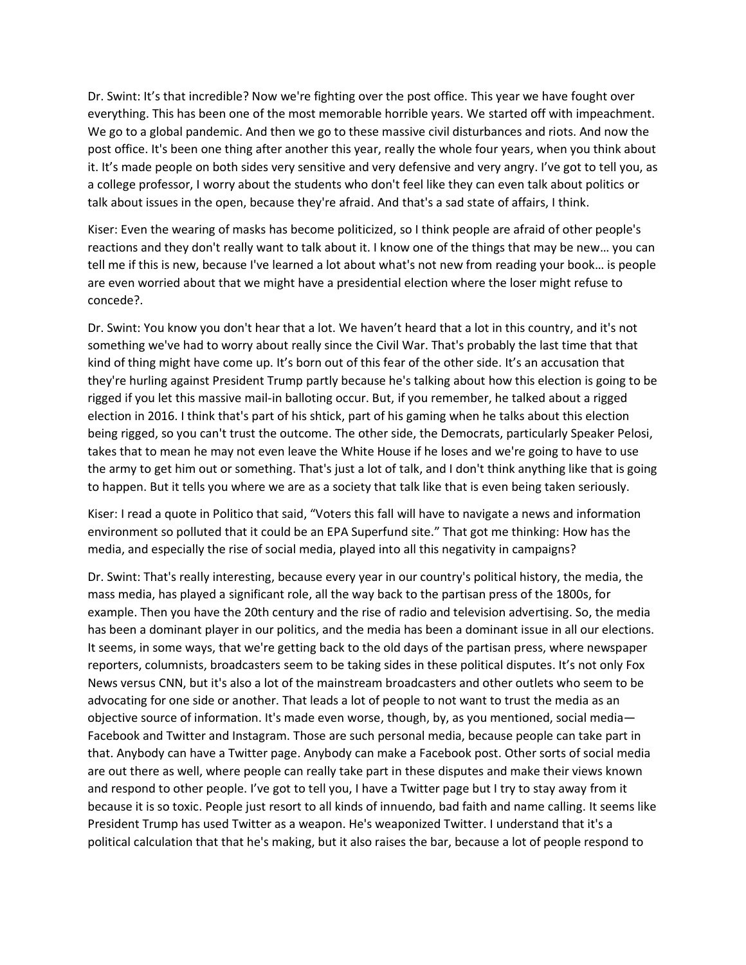Dr. Swint: It's that incredible? Now we're fighting over the post office. This year we have fought over everything. This has been one of the most memorable horrible years. We started off with impeachment. We go to a global pandemic. And then we go to these massive civil disturbances and riots. And now the post office. It's been one thing after another this year, really the whole four years, when you think about it. It's made people on both sides very sensitive and very defensive and very angry. I've got to tell you, as a college professor, I worry about the students who don't feel like they can even talk about politics or talk about issues in the open, because they're afraid. And that's a sad state of affairs, I think.

Kiser: Even the wearing of masks has become politicized, so I think people are afraid of other people's reactions and they don't really want to talk about it. I know one of the things that may be new… you can tell me if this is new, because I've learned a lot about what's not new from reading your book… is people are even worried about that we might have a presidential election where the loser might refuse to concede?.

Dr. Swint: You know you don't hear that a lot. We haven't heard that a lot in this country, and it's not something we've had to worry about really since the Civil War. That's probably the last time that that kind of thing might have come up. It's born out of this fear of the other side. It's an accusation that they're hurling against President Trump partly because he's talking about how this election is going to be rigged if you let this massive mail-in balloting occur. But, if you remember, he talked about a rigged election in 2016. I think that's part of his shtick, part of his gaming when he talks about this election being rigged, so you can't trust the outcome. The other side, the Democrats, particularly Speaker Pelosi, takes that to mean he may not even leave the White House if he loses and we're going to have to use the army to get him out or something. That's just a lot of talk, and I don't think anything like that is going to happen. But it tells you where we are as a society that talk like that is even being taken seriously.

Kiser: I read a quote in Politico that said, "Voters this fall will have to navigate a news and information environment so polluted that it could be an EPA Superfund site." That got me thinking: How has the media, and especially the rise of social media, played into all this negativity in campaigns?

Dr. Swint: That's really interesting, because every year in our country's political history, the media, the mass media, has played a significant role, all the way back to the partisan press of the 1800s, for example. Then you have the 20th century and the rise of radio and television advertising. So, the media has been a dominant player in our politics, and the media has been a dominant issue in all our elections. It seems, in some ways, that we're getting back to the old days of the partisan press, where newspaper reporters, columnists, broadcasters seem to be taking sides in these political disputes. It's not only Fox News versus CNN, but it's also a lot of the mainstream broadcasters and other outlets who seem to be advocating for one side or another. That leads a lot of people to not want to trust the media as an objective source of information. It's made even worse, though, by, as you mentioned, social media— Facebook and Twitter and Instagram. Those are such personal media, because people can take part in that. Anybody can have a Twitter page. Anybody can make a Facebook post. Other sorts of social media are out there as well, where people can really take part in these disputes and make their views known and respond to other people. I've got to tell you, I have a Twitter page but I try to stay away from it because it is so toxic. People just resort to all kinds of innuendo, bad faith and name calling. It seems like President Trump has used Twitter as a weapon. He's weaponized Twitter. I understand that it's a political calculation that that he's making, but it also raises the bar, because a lot of people respond to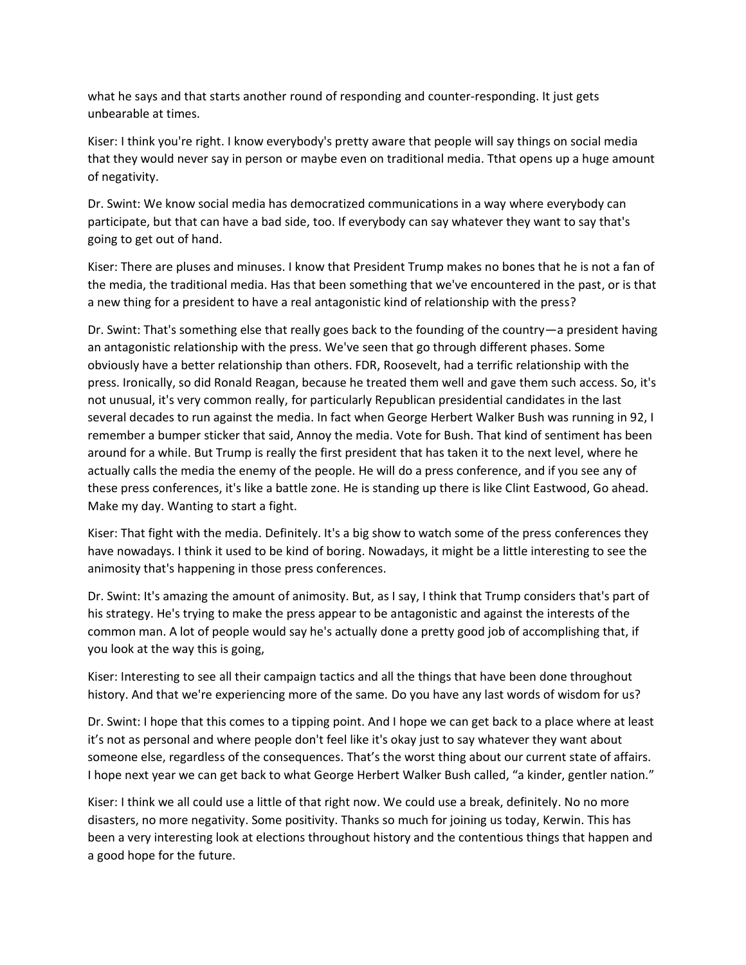what he says and that starts another round of responding and counter-responding. It just gets unbearable at times.

Kiser: I think you're right. I know everybody's pretty aware that people will say things on social media that they would never say in person or maybe even on traditional media. Tthat opens up a huge amount of negativity.

Dr. Swint: We know social media has democratized communications in a way where everybody can participate, but that can have a bad side, too. If everybody can say whatever they want to say that's going to get out of hand.

Kiser: There are pluses and minuses. I know that President Trump makes no bones that he is not a fan of the media, the traditional media. Has that been something that we've encountered in the past, or is that a new thing for a president to have a real antagonistic kind of relationship with the press?

Dr. Swint: That's something else that really goes back to the founding of the country—a president having an antagonistic relationship with the press. We've seen that go through different phases. Some obviously have a better relationship than others. FDR, Roosevelt, had a terrific relationship with the press. Ironically, so did Ronald Reagan, because he treated them well and gave them such access. So, it's not unusual, it's very common really, for particularly Republican presidential candidates in the last several decades to run against the media. In fact when George Herbert Walker Bush was running in 92, I remember a bumper sticker that said, Annoy the media. Vote for Bush. That kind of sentiment has been around for a while. But Trump is really the first president that has taken it to the next level, where he actually calls the media the enemy of the people. He will do a press conference, and if you see any of these press conferences, it's like a battle zone. He is standing up there is like Clint Eastwood, Go ahead. Make my day. Wanting to start a fight.

Kiser: That fight with the media. Definitely. It's a big show to watch some of the press conferences they have nowadays. I think it used to be kind of boring. Nowadays, it might be a little interesting to see the animosity that's happening in those press conferences.

Dr. Swint: It's amazing the amount of animosity. But, as I say, I think that Trump considers that's part of his strategy. He's trying to make the press appear to be antagonistic and against the interests of the common man. A lot of people would say he's actually done a pretty good job of accomplishing that, if you look at the way this is going,

Kiser: Interesting to see all their campaign tactics and all the things that have been done throughout history. And that we're experiencing more of the same. Do you have any last words of wisdom for us?

Dr. Swint: I hope that this comes to a tipping point. And I hope we can get back to a place where at least it's not as personal and where people don't feel like it's okay just to say whatever they want about someone else, regardless of the consequences. That's the worst thing about our current state of affairs. I hope next year we can get back to what George Herbert Walker Bush called, "a kinder, gentler nation."

Kiser: I think we all could use a little of that right now. We could use a break, definitely. No no more disasters, no more negativity. Some positivity. Thanks so much for joining us today, Kerwin. This has been a very interesting look at elections throughout history and the contentious things that happen and a good hope for the future.